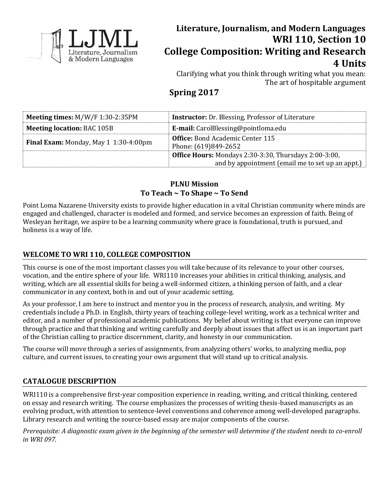

# **Literature, Journalism, and Modern Languages WRI 110, Section 10 College Composition: Writing and Research 4 Units**

Clarifying what you think through writing what you mean: The art of hospitable argument

## **Spring 2017**

| <b>Meeting times:</b> $M/W/F$ 1:30-2:35PM | <b>Instructor:</b> Dr. Blessing, Professor of Literature                                                         |  |
|-------------------------------------------|------------------------------------------------------------------------------------------------------------------|--|
| <b>Meeting location: BAC 105B</b>         | <b>E-mail:</b> CarolBlessing@pointloma.edu                                                                       |  |
| Final Exam: Monday, May 1 1:30-4:00pm     | <b>Office:</b> Bond Academic Center 115<br>Phone: (619)849-2652                                                  |  |
|                                           | <b>Office Hours:</b> Mondays 2:30-3:30, Thursdays 2:00-3:00,<br>and by appointment (email me to set up an appt.) |  |

## **PLNU Mission To Teach ~ To Shape ~ To Send**

Point Loma Nazarene University exists to provide higher education in a vital Christian community where minds are engaged and challenged, character is modeled and formed, and service becomes an expression of faith. Being of Wesleyan heritage, we aspire to be a learning community where grace is foundational, truth is pursued, and holiness is a way of life.

## **WELCOME TO WRI 110, COLLEGE COMPOSITION**

This course is one of the most important classes you will take because of its relevance to your other courses, vocation, and the entire sphere of your life. WRI110 increases your abilities in critical thinking, analysis, and writing, which are all essential skills for being a well-informed citizen, a thinking person of faith, and a clear communicator in any context, both in and out of your academic setting.

As your professor, I am here to instruct and mentor you in the process of research, analysis, and writing. My credentials include a Ph.D. in English, thirty years of teaching college-level writing, work as a technical writer and editor, and a number of professional academic publications. My belief about writing is that everyone can improve through practice and that thinking and writing carefully and deeply about issues that affect us is an important part of the Christian calling to practice discernment, clarity, and honesty in our communication.

The course will move through a series of assignments, from analyzing others' works, to analyzing media, pop culture, and current issues, to creating your own argument that will stand up to critical analysis.

## **CATALOGUE DESCRIPTION**

WRI110 is a comprehensive first-year composition experience in reading, writing, and critical thinking, centered on essay and research writing. The course emphasizes the processes of writing thesis-based manuscripts as an evolving product, with attention to sentence-level conventions and coherence among well-developed paragraphs. Library research and writing the source-based essay are major components of the course.

*Prerequisite: A diagnostic exam given in the beginning of the semester will determine if the student needs to co-enroll in WRI 097.*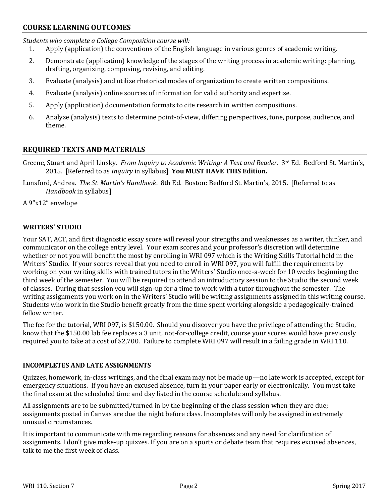## **COURSE LEARNING OUTCOMES**

*Students who complete a College Composition course will:*

- 1. Apply (application) the conventions of the English language in various genres of academic writing.
- 2. Demonstrate (application) knowledge of the stages of the writing process in academic writing: planning, drafting, organizing, composing, revising, and editing.
- 3. Evaluate (analysis) and utilize rhetorical modes of organization to create written compositions.
- 4. Evaluate (analysis) online sources of information for valid authority and expertise.
- 5. Apply (application) documentation formats to cite research in written compositions.
- 6. Analyze (analysis) texts to determine point-of-view, differing perspectives, tone, purpose, audience, and theme.

#### **REQUIRED TEXTS AND MATERIALS**

Greene, Stuart and April Linsky. *From Inquiry to Academic Writing: A Text and Reader*. 3<sup>rd</sup> Ed. Bedford St. Martin's, 2015. [Referred to as *Inquiry* in syllabus] **You MUST HAVE THIS Edition.**

Lunsford, Andrea. *The St. Martin's Handbook*. 8th Ed. Boston: Bedford St. Martin's, 2015. [Referred to as *Handbook* in syllabus]

A 9"x12" envelope

#### **WRITERS' STUDIO**

Your SAT, ACT, and first diagnostic essay score will reveal your strengths and weaknesses as a writer, thinker, and communicator on the college entry level. Your exam scores and your professor's discretion will determine whether or not you will benefit the most by enrolling in WRI 097 which is the Writing Skills Tutorial held in the Writers' Studio. If your scores reveal that you need to enroll in WRI 097, you will fulfill the requirements by working on your writing skills with trained tutors in the Writers' Studio once-a-week for 10 weeks beginning the third week of the semester. You will be required to attend an introductory session to the Studio the second week of classes. During that session you will sign-up for a time to work with a tutor throughout the semester. The writing assignments you work on in the Writers' Studio will be writing assignments assigned in this writing course. Students who work in the Studio benefit greatly from the time spent working alongside a pedagogically-trained fellow writer.

The fee for the tutorial, WRI 097, is \$150.00. Should you discover you have the privilege of attending the Studio, know that the \$150.00 lab fee replaces a 3 unit, not-for-college credit, course your scores would have previously required you to take at a cost of \$2,700. Failure to complete WRI 097 will result in a failing grade in WRI 110.

#### **INCOMPLETES AND LATE ASSIGNMENTS**

Quizzes, homework, in-class writings, and the final exam may not be made up—no late work is accepted, except for emergency situations. If you have an excused absence, turn in your paper early or electronically. You must take the final exam at the scheduled time and day listed in the course schedule and syllabus.

All assignments are to be submitted/turned in by the beginning of the class session when they are due; assignments posted in Canvas are due the night before class. Incompletes will only be assigned in extremely unusual circumstances.

It is important to communicate with me regarding reasons for absences and any need for clarification of assignments. I don't give make-up quizzes. If you are on a sports or debate team that requires excused absences, talk to me the first week of class.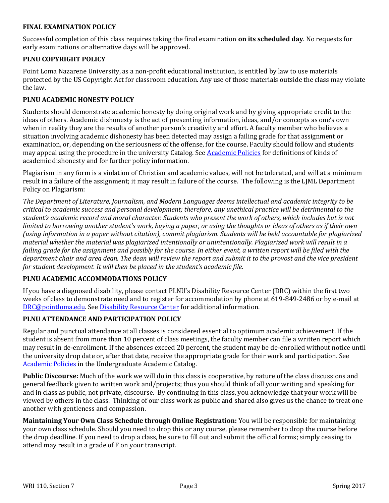#### **FINAL EXAMINATION POLICY**

Successful completion of this class requires taking the final examination **on its scheduled day**. No requests for early examinations or alternative days will be approved.

#### **PLNU COPYRIGHT POLICY**

Point Loma Nazarene University, as a non-profit educational institution, is entitled by law to use materials protected by the US Copyright Act for classroom education. Any use of those materials outside the class may violate the law.

#### **PLNU ACADEMIC HONESTY POLICY**

Students should demonstrate academic honesty by doing original work and by giving appropriate credit to the ideas of others. Academic dishonesty is the act of presenting information, ideas, and/or concepts as one's own when in reality they are the results of another person's creativity and effort. A faculty member who believes a situation involving academic dishonesty has been detected may assign a failing grade for that assignment or examination, or, depending on the seriousness of the offense, for the course. Faculty should follow and students may appeal using the procedure in the university Catalog. See [Academic Policies](http://catalog.pointloma.edu/content.php?catoid=18&navoid=1278) for definitions of kinds of academic dishonesty and for further policy information.

Plagiarism in any form is a violation of Christian and academic values, will not be tolerated, and will at a minimum result in a failure of the assignment; it may result in failure of the course. The following is the LJML Department Policy on Plagiarism:

*The Department of Literature, Journalism, and Modern Languages deems intellectual and academic integrity to be critical to academic success and personal development; therefore, any unethical practice will be detrimental to the student's academic record and moral character. Students who present the work of others, which includes but is not limited to borrowing another student's work, buying a paper, or using the thoughts or ideas of others as if their own (using information in a paper without citation), commit plagiarism. Students will be held accountable for plagiarized material whether the material was plagiarized intentionally or unintentionally. Plagiarized work will result in a failing grade for the assignment and possibly for the course. In either event, a written report will be filed with the department chair and area dean. The dean will review the report and submit it to the provost and the vice president for student development. It will then be placed in the student's academic file.*

#### **PLNU ACADEMIC ACCOMMODATIONS POLICY**

If you have a diagnosed disability, please contact PLNU's Disability Resource Center (DRC) within the first two weeks of class to demonstrate need and to register for accommodation by phone at 619-849-2486 or by e-mail at [DRC@pointloma.edu.](mailto:DRC@pointloma.edu) See [Disability Resource Center](http://www.pointloma.edu/experience/offices/administrative-offices/academic-advising-office/disability-resource-center) for additional information.

#### **PLNU ATTENDANCE AND PARTICIPATION POLICY**

Regular and punctual attendance at all classes is considered essential to optimum academic achievement. If the student is absent from more than 10 percent of class meetings, the faculty member can file a written report which may result in de-enrollment. If the absences exceed 20 percent, the student may be de-enrolled without notice until the university drop date or, after that date, receive the appropriate grade for their work and participation. See [Academic Policies](http://catalog.pointloma.edu/content.php?catoid=18&navoid=1278) in the Undergraduate Academic Catalog.

**Public Discourse:** Much of the work we will do in this class is cooperative, by nature of the class discussions and general feedback given to written work and/projects; thus you should think of all your writing and speaking for and in class as public, not private, discourse. By continuing in this class, you acknowledge that your work will be viewed by others in the class. Thinking of our class work as public and shared also gives us the chance to treat one another with gentleness and compassion.

**Maintaining Your Own Class Schedule through Online Registration:** You will be responsible for maintaining your own class schedule. Should you need to drop this or any course, please remember to drop the course before the drop deadline. If you need to drop a class, be sure to fill out and submit the official forms; simply ceasing to attend may result in a grade of F on your transcript.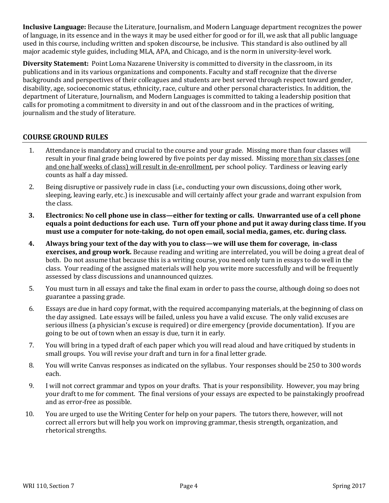**Inclusive Language:** Because the Literature, Journalism, and Modern Language department recognizes the power of language, in its essence and in the ways it may be used either for good or for ill, we ask that all public language used in this course, including written and spoken discourse, be inclusive. This standard is also outlined by all major academic style guides, including MLA, APA, and Chicago, and is the norm in university-level work.

**Diversity Statement:** Point Loma Nazarene University is committed to diversity in the classroom, in its publications and in its various organizations and components. Faculty and staff recognize that the diverse backgrounds and perspectives of their colleagues and students are best served through respect toward gender, disability, age, socioeconomic status, ethnicity, race, culture and other personal characteristics. In addition, the department of Literature, Journalism, and Modern Languages is committed to taking a leadership position that calls for promoting a commitment to diversity in and out of the classroom and in the practices of writing, journalism and the study of literature.

## **COURSE GROUND RULES**

- 1. Attendance is mandatory and crucial to the course and your grade. Missing more than four classes will result in your final grade being lowered by five points per day missed. Missing more than six classes (one and one half weeks of class) will result in de-enrollment, per school policy. Tardiness or leaving early counts as half a day missed.
- 2. Being disruptive or passively rude in class (i.e., conducting your own discussions, doing other work, sleeping, leaving early, etc.) is inexcusable and will certainly affect your grade and warrant expulsion from the class.
- **3. Electronics: No cell phone use in class—either for texting or calls. Unwarranted use of a cell phone equals a point deductions for each use. Turn off your phone and put it away during class time. If you must use a computer for note-taking, do not open email, social media, games, etc. during class.**
- **4. Always bring your text of the day with you to class—we will use them for coverage, in-class exercises, and group work.** Because reading and writing are interrelated, you will be doing a great deal of both. Do not assume that because this is a writing course, you need only turn in essays to do well in the class. Your reading of the assigned materials will help you write more successfully and will be frequently assessed by class discussions and unannounced quizzes.
- 5. You must turn in all essays and take the final exam in order to pass the course, although doing so does not guarantee a passing grade.
- 6. Essays are due in hard copy format, with the required accompanying materials, at the beginning of class on the day assigned. Late essays will be failed, unless you have a valid excuse. The only valid excuses are serious illness (a physician's excuse is required) or dire emergency (provide documentation). If you are going to be out of town when an essay is due, turn it in early.
- 7. You will bring in a typed draft of each paper which you will read aloud and have critiqued by students in small groups. You will revise your draft and turn in for a final letter grade.
- 8. You will write Canvas responses as indicated on the syllabus. Your responses should be 250 to 300 words each.
- 9. I will not correct grammar and typos on your drafts. That is your responsibility. However, you may bring your draft to me for comment. The final versions of your essays are expected to be painstakingly proofread and as error-free as possible.
- 10. You are urged to use the Writing Center for help on your papers. The tutors there, however, will not correct all errors but will help you work on improving grammar, thesis strength, organization, and rhetorical strengths.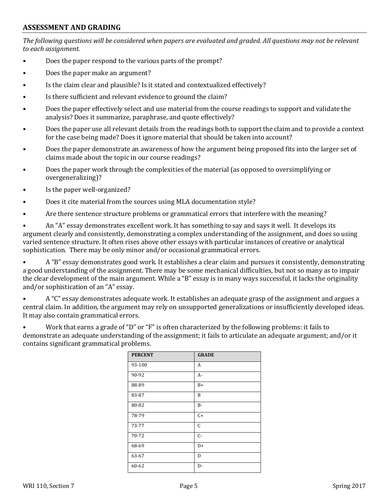## **ASSESSMENT AND GRADING**

*The following questions will be considered when papers are evaluated and graded. All questions may not be relevant to each assignment.*

- Does the paper respond to the various parts of the prompt?
- Does the paper make an argument?
- Is the claim clear and plausible? Is it stated and contextualized effectively?
- Is there sufficient and relevant evidence to ground the claim?
- Does the paper effectively select and use material from the course readings to support and validate the analysis? Does it summarize, paraphrase, and quote effectively?
- Does the paper use all relevant details from the readings both to support the claim and to provide a context for the case being made? Does it ignore material that should be taken into account?
- Does the paper demonstrate an awareness of how the argument being proposed fits into the larger set of claims made about the topic in our course readings?
- Does the paper work through the complexities of the material (as opposed to oversimplifying or overgeneralizing)?
- Is the paper well-organized?
- Does it cite material from the sources using MLA documentation style?
- Are there sentence structure problems or grammatical errors that interfere with the meaning?

• An "A" essay demonstrates excellent work. It has something to say and says it well. It develops its argument clearly and consistently, demonstrating a complex understanding of the assignment, and does so using varied sentence structure. It often rises above other essays with particular instances of creative or analytical sophistication. There may be only minor and/or occasional grammatical errors.

• A "B" essay demonstrates good work. It establishes a clear claim and pursues it consistently, demonstrating a good understanding of the assignment. There may be some mechanical difficulties, but not so many as to impair the clear development of the main argument. While a "B" essay is in many ways successful, it lacks the originality and/or sophistication of an "A" essay.

• A "C" essay demonstrates adequate work. It establishes an adequate grasp of the assignment and argues a central claim. In addition, the argument may rely on unsupported generalizations or insufficiently developed ideas. It may also contain grammatical errors.

• Work that earns a grade of "D" or "F" is often characterized by the following problems: it fails to demonstrate an adequate understanding of the assignment; it fails to articulate an adequate argument; and/or it contains significant grammatical problems.

| <b>PERCENT</b> | <b>GRADE</b> |
|----------------|--------------|
| 93-100         | A            |
| 90-92          | $A-$         |
| 88-89          | $B+$         |
| 83-87          | B            |
| 80-82          | $B-$         |
| 78-79          | $C+$         |
| 73-77          | $\mathsf{C}$ |
| 70-72          | $C-$         |
| 68-69          | D+           |
| 63-67          | D            |
| 60-62          | D-           |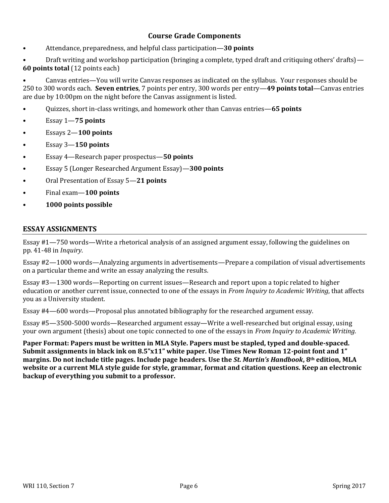### **Course Grade Components**

• Attendance, preparedness, and helpful class participation—**30 points**

• Draft writing and workshop participation (bringing a complete, typed draft and critiquing others' drafts)— **60 points total** (12 points each)

• Canvas entries—You will write Canvas responses as indicated on the syllabus. Your responses should be 250 to 300 words each. **Seven entries**, 7 points per entry, 300 words per entry—**49 points total**—Canvas entries are due by 10:00pm on the night before the Canvas assignment is listed.

- Quizzes, short in-class writings, and homework other than Canvas entries—**65 points**
- Essay 1—**75 points**
- Essays 2—**100 points**
- Essay 3—**150 points**
- Essay 4—Research paper prospectus—**50 points**
- Essay 5 (Longer Researched Argument Essay)—**300 points**
- Oral Presentation of Essay 5—**21 points**
- Final exam—**100 points**
- **1000 points possible**

#### **ESSAY ASSIGNMENTS**

Essay #1—750 words—Write a rhetorical analysis of an assigned argument essay, following the guidelines on pp. 41-48 in *Inquiry*.

Essay #2—1000 words—Analyzing arguments in advertisements—Prepare a compilation of visual advertisements on a particular theme and write an essay analyzing the results.

Essay #3—1300 words—Reporting on current issues—Research and report upon a topic related to higher education or another current issue, connected to one of the essays in *From Inquiry to Academic Writing*, that affects you as a University student.

Essay #4—600 words—Proposal plus annotated bibliography for the researched argument essay.

Essay #5—3500-5000 words—Researched argument essay—Write a well-researched but original essay, using your own argument (thesis) about one topic connected to one of the essays in *From Inquiry to Academic Writing.*

**Paper Format: Papers must be written in MLA Style. Papers must be stapled, typed and double-spaced. Submit assignments in black ink on 8.5"x11" white paper. Use Times New Roman 12-point font and 1" margins. Do not include title pages. Include page headers. Use the** *St. Martin's Handbook***, 8th edition, MLA website or a current MLA style guide for style, grammar, format and citation questions. Keep an electronic backup of everything you submit to a professor.**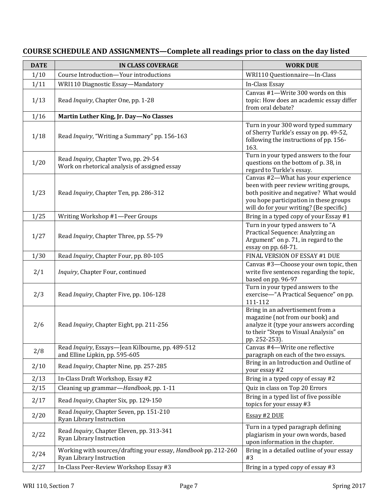| <b>DATE</b> | <b>IN CLASS COVERAGE</b>                                                                   | <b>WORK DUE</b>                                                                                                                                                                                            |
|-------------|--------------------------------------------------------------------------------------------|------------------------------------------------------------------------------------------------------------------------------------------------------------------------------------------------------------|
| 1/10        | Course Introduction-Your introductions                                                     | WRI110 Questionnaire-In-Class                                                                                                                                                                              |
| 1/11        | WRI110 Diagnostic Essay-Mandatory                                                          | In-Class Essay                                                                                                                                                                                             |
| 1/13        | Read Inquiry, Chapter One, pp. 1-28                                                        | Canvas #1-Write 300 words on this<br>topic: How does an academic essay differ<br>from oral debate?                                                                                                         |
| 1/16        | Martin Luther King, Jr. Day-No Classes                                                     |                                                                                                                                                                                                            |
| 1/18        | Read Inquiry, "Writing a Summary" pp. 156-163                                              | Turn in your 300 word typed summary<br>of Sherry Turkle's essay on pp. 49-52,<br>following the instructions of pp. 156-<br>163.                                                                            |
| 1/20        | Read Inquiry, Chapter Two, pp. 29-54<br>Work on rhetorical analysis of assigned essay      | Turn in your typed answers to the four<br>questions on the bottom of p. 38, in<br>regard to Turkle's essay.                                                                                                |
| 1/23        | Read Inquiry, Chapter Ten, pp. 286-312                                                     | Canvas #2-What has your experience<br>been with peer review writing groups,<br>both positive and negative? What would<br>you hope participation in these groups<br>will do for your writing? (Be specific) |
| 1/25        | Writing Workshop #1-Peer Groups                                                            | Bring in a typed copy of your Essay #1                                                                                                                                                                     |
| 1/27        | Read <i>Inquiry</i> , Chapter Three, pp. 55-79                                             | Turn in your typed answers to "A<br>Practical Sequence: Analyzing an<br>Argument" on p. 71, in regard to the<br>essay on pp. 68-71.                                                                        |
| 1/30        | Read Inquiry, Chapter Four, pp. 80-105                                                     | FINAL VERSION OF ESSAY #1 DUE                                                                                                                                                                              |
| 2/1         | Inquiry, Chapter Four, continued                                                           | Canvas #3-Choose your own topic, then<br>write five sentences regarding the topic,<br>based on pp. 96-97                                                                                                   |
| 2/3         | Read Inquiry, Chapter Five, pp. 106-128                                                    | Turn in your typed answers to the<br>exercise-"A Practical Sequence" on pp.<br>111-112                                                                                                                     |
| 2/6         | Read Inquiry, Chapter Eight, pp. 211-256                                                   | Bring in an advertisement from a<br>magazine (not from our book) and<br>analyze it (type your answers according<br>to their "Steps to Visual Analysis" on<br>pp. 252-253).                                 |
| 2/8         | Read Inquiry, Essays-Jean Kilbourne, pp. 489-512<br>and Elline Lipkin, pp. 595-605         | Canvas #4-Write one reflective<br>paragraph on each of the two essays.                                                                                                                                     |
| 2/10        | Read Inquiry, Chapter Nine, pp. 257-285                                                    | Bring in an Introduction and Outline of<br>your essay #2                                                                                                                                                   |
| 2/13        | In-Class Draft Workshop, Essay #2                                                          | Bring in a typed copy of essay #2                                                                                                                                                                          |
| 2/15        | Cleaning up grammar-Handbook, pp. 1-11                                                     | Quiz in class on Top 20 Errors                                                                                                                                                                             |
| 2/17        | Read <i>Inquiry</i> , Chapter Six, pp. 129-150                                             | Bring in a typed list of five possible<br>topics for your essay #3                                                                                                                                         |
| 2/20        | Read Inquiry, Chapter Seven, pp. 151-210<br>Ryan Library Instruction                       | Essay #2 DUE                                                                                                                                                                                               |
| 2/22        | Read Inquiry, Chapter Eleven, pp. 313-341<br>Ryan Library Instruction                      | Turn in a typed paragraph defining<br>plagiarism in your own words, based<br>upon information in the chapter.                                                                                              |
| 2/24        | Working with sources/drafting your essay, Handbook pp. 212-260<br>Ryan Library Instruction | Bring in a detailed outline of your essay<br>#3                                                                                                                                                            |
| 2/27        | In-Class Peer-Review Workshop Essay #3                                                     | Bring in a typed copy of essay #3                                                                                                                                                                          |

# **COURSE SCHEDULE AND ASSIGNMENTS—Complete all readings prior to class on the day listed**